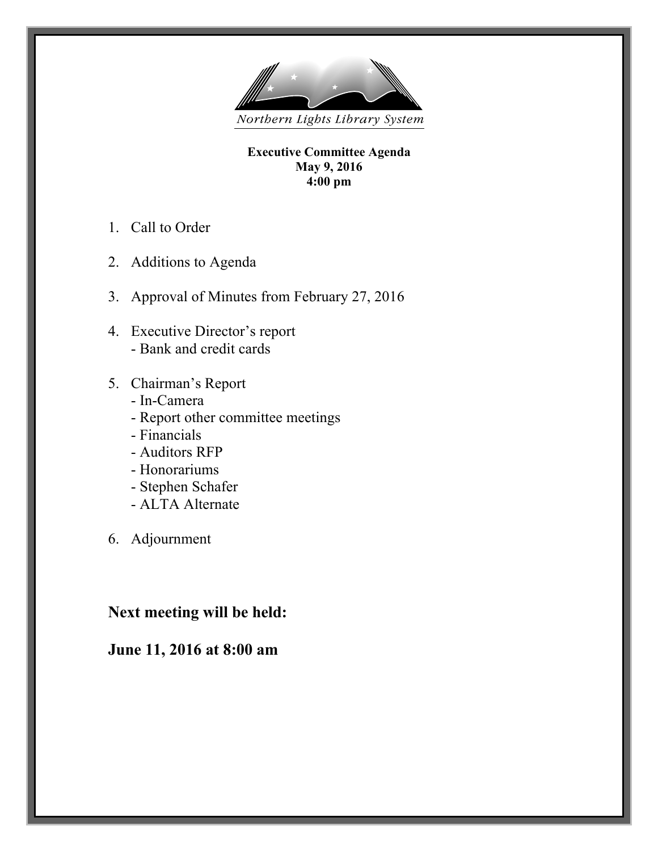

**Executive Committee Agenda May 9, 2016 4:00 pm**

- 1. Call to Order
- 2. Additions to Agenda
- 3. Approval of Minutes from February 27, 2016
- 4. Executive Director's report - Bank and credit cards
- 5. Chairman's Report
	- In-Camera
	- Report other committee meetings
	- Financials
	- Auditors RFP
	- Honorariums
	- Stephen Schafer
	- ALTA Alternate
- 6. Adjournment

# **Next meeting will be held:**

# **June 11, 2016 at 8:00 am**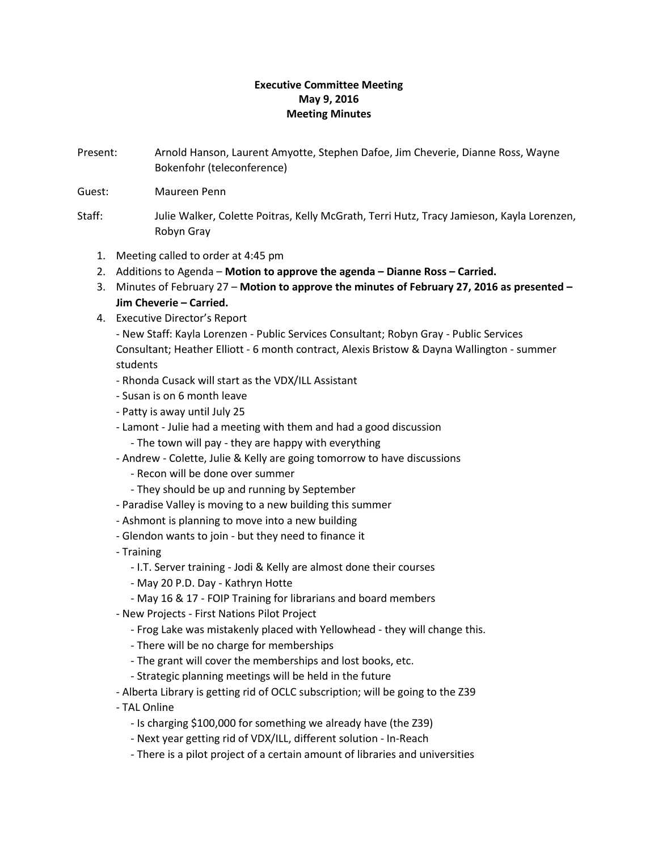# **Executive Committee Meeting May 9, 2016 Meeting Minutes**

- Present: Arnold Hanson, Laurent Amyotte, Stephen Dafoe, Jim Cheverie, Dianne Ross, Wayne Bokenfohr (teleconference)
- Guest: Maureen Penn
- Staff: Julie Walker, Colette Poitras, Kelly McGrath, Terri Hutz, Tracy Jamieson, Kayla Lorenzen, Robyn Gray
	- 1. Meeting called to order at 4:45 pm
	- 2. Additions to Agenda **Motion to approve the agenda – Dianne Ross – Carried.**
	- 3. Minutes of February 27 **Motion to approve the minutes of February 27, 2016 as presented – Jim Cheverie – Carried.**
	- 4. Executive Director's Report

- New Staff: Kayla Lorenzen - Public Services Consultant; Robyn Gray - Public Services Consultant; Heather Elliott - 6 month contract, Alexis Bristow & Dayna Wallington - summer students

- Rhonda Cusack will start as the VDX/ILL Assistant
- Susan is on 6 month leave
- Patty is away until July 25
- Lamont Julie had a meeting with them and had a good discussion
	- The town will pay they are happy with everything
- Andrew Colette, Julie & Kelly are going tomorrow to have discussions
	- Recon will be done over summer
	- They should be up and running by September
- Paradise Valley is moving to a new building this summer
- Ashmont is planning to move into a new building
- Glendon wants to join but they need to finance it
- Training
	- I.T. Server training Jodi & Kelly are almost done their courses
	- May 20 P.D. Day Kathryn Hotte
	- May 16 & 17 FOIP Training for librarians and board members
- New Projects First Nations Pilot Project
	- Frog Lake was mistakenly placed with Yellowhead they will change this.
	- There will be no charge for memberships
	- The grant will cover the memberships and lost books, etc.
	- Strategic planning meetings will be held in the future
- Alberta Library is getting rid of OCLC subscription; will be going to the Z39
- TAL Online
	- Is charging \$100,000 for something we already have (the Z39)
	- Next year getting rid of VDX/ILL, different solution In-Reach
	- There is a pilot project of a certain amount of libraries and universities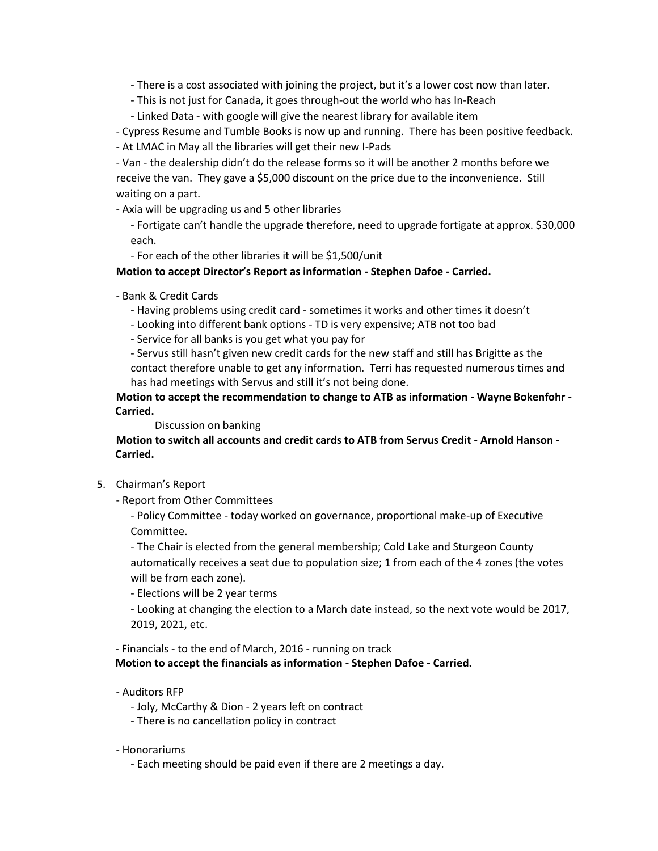- There is a cost associated with joining the project, but it's a lower cost now than later.

- This is not just for Canada, it goes through-out the world who has In-Reach
- Linked Data with google will give the nearest library for available item
- Cypress Resume and Tumble Books is now up and running. There has been positive feedback.
- At LMAC in May all the libraries will get their new I-Pads

- Van - the dealership didn't do the release forms so it will be another 2 months before we receive the van. They gave a \$5,000 discount on the price due to the inconvenience. Still waiting on a part.

- Axia will be upgrading us and 5 other libraries

- Fortigate can't handle the upgrade therefore, need to upgrade fortigate at approx. \$30,000 each.

- For each of the other libraries it will be \$1,500/unit

## **Motion to accept Director's Report as information - Stephen Dafoe - Carried.**

- Bank & Credit Cards

- Having problems using credit card - sometimes it works and other times it doesn't

- Looking into different bank options - TD is very expensive; ATB not too bad

- Service for all banks is you get what you pay for

- Servus still hasn't given new credit cards for the new staff and still has Brigitte as the contact therefore unable to get any information. Terri has requested numerous times and has had meetings with Servus and still it's not being done.

**Motion to accept the recommendation to change to ATB as information - Wayne Bokenfohr - Carried.**

Discussion on banking

**Motion to switch all accounts and credit cards to ATB from Servus Credit - Arnold Hanson - Carried.**

- 5. Chairman's Report
	- Report from Other Committees

- Policy Committee - today worked on governance, proportional make-up of Executive Committee.

- The Chair is elected from the general membership; Cold Lake and Sturgeon County automatically receives a seat due to population size; 1 from each of the 4 zones (the votes will be from each zone).

- Elections will be 2 year terms

- Looking at changing the election to a March date instead, so the next vote would be 2017, 2019, 2021, etc.

- Financials - to the end of March, 2016 - running on track **Motion to accept the financials as information - Stephen Dafoe - Carried.**

- Auditors RFP
	- Joly, McCarthy & Dion 2 years left on contract
	- There is no cancellation policy in contract

### - Honorariums

- Each meeting should be paid even if there are 2 meetings a day.